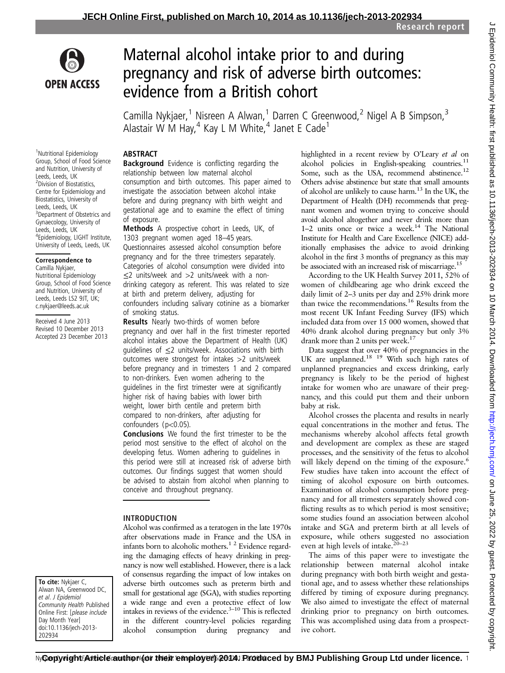

# Maternal alcohol intake prior to and during pregnancy and risk of adverse birth outcomes: evidence from a British cohort

Camilla Nykjaer,<sup>1</sup> Nisreen A Alwan,<sup>1</sup> Darren C Greenwood,<sup>2</sup> Nigel A B Simpson,<sup>3</sup> Alastair W M Hay,  $4$  Kay L M White,  $4$  Janet E Cade<sup>1</sup>

#### 1 Nutritional Epidemiology Group, School of Food Science and Nutrition, University of Leeds, Leeds, UK 2 Division of Biostatistics, Centre for Epidemiology and Biostatistics, University of Leeds, Leeds, UK <sup>3</sup> Department of Obstetrics and

Gynaecology, University of Leeds, Leeds, UK 4 Epidemiology, LIGHT Institute, University of Leeds, Leeds, UK

#### Correspondence to

Camilla Nykjaer, Nutritional Epidemiology Group, School of Food Science and Nutrition, University of Leeds, Leeds LS2 9JT, UK; c.nykjaer@leeds.ac.uk

Received 4 June 2013 Revised 10 December 2013 Accepted 23 December 2013

To cite: Nykjaer C, Alwan NA, Greenwood DC, et al. J Epidemiol Community Health Published Online First: [please include Day Month Year] doi:10.1136/jech-2013- 202934

# **ABSTRACT**

**Background** Evidence is conflicting regarding the relationship between low maternal alcohol consumption and birth outcomes. This paper aimed to investigate the association between alcohol intake before and during pregnancy with birth weight and gestational age and to examine the effect of timing of exposure.

Methods A prospective cohort in Leeds, UK, of 1303 pregnant women aged 18–45 years. Questionnaires assessed alcohol consumption before pregnancy and for the three trimesters separately. Categories of alcohol consumption were divided into ≤2 units/week and >2 units/week with a nondrinking category as referent. This was related to size at birth and preterm delivery, adjusting for confounders including salivary cotinine as a biomarker of smoking status.

**Results** Nearly two-thirds of women before pregnancy and over half in the first trimester reported alcohol intakes above the Department of Health (UK) quidelines of  $\leq$ 2 units/week. Associations with birth outcomes were strongest for intakes >2 units/week before pregnancy and in trimesters 1 and 2 compared to non-drinkers. Even women adhering to the guidelines in the first trimester were at significantly higher risk of having babies with lower birth weight, lower birth centile and preterm birth compared to non-drinkers, after adjusting for confounders (p<0.05).

Conclusions We found the first trimester to be the period most sensitive to the effect of alcohol on the developing fetus. Women adhering to guidelines in this period were still at increased risk of adverse birth outcomes. Our findings suggest that women should be advised to abstain from alcohol when planning to conceive and throughout pregnancy.

## INTRODUCTION

Alcohol was confirmed as a teratogen in the late 1970s after observations made in France and the USA in infants born to alcoholic mothers.<sup>1 2</sup> Evidence regarding the damaging effects of heavy drinking in pregnancy is now well established. However, there is a lack of consensus regarding the impact of low intakes on adverse birth outcomes such as preterm birth and small for gestational age (SGA), with studies reporting a wide range and even a protective effect of low intakes in reviews of the evidence. $3-10$  This is reflected in the different country-level policies regarding alcohol consumption during pregnancy and highlighted in a recent review by O'Leary et al on alcohol policies in English-speaking countries. $^{11}$ Some, such as the USA, recommend abstinence.<sup>12</sup> Others advise abstinence but state that small amounts of alcohol are unlikely to cause harm.<sup>13</sup> In the UK, the Department of Health (DH) recommends that pregnant women and women trying to conceive should avoid alcohol altogether and never drink more than 1–2 units once or twice a week.<sup>14</sup> The National Institute for Health and Care Excellence (NICE) additionally emphasises the advice to avoid drinking alcohol in the first 3 months of pregnancy as this may be associated with an increased risk of miscarriage.<sup>15</sup>

According to the UK Health Survey 2011, 52% of women of childbearing age who drink exceed the daily limit of 2–3 units per day and 25% drink more than twice the recommendations.<sup>16</sup> Results from the most recent UK Infant Feeding Survey (IFS) which included data from over 15 000 women, showed that 40% drank alcohol during pregnancy but only 3% drank more than 2 units per week.<sup>17</sup>

Data suggest that over 40% of pregnancies in the UK are unplanned.<sup>18</sup> <sup>19</sup> With such high rates of unplanned pregnancies and excess drinking, early pregnancy is likely to be the period of highest intake for women who are unaware of their pregnancy, and this could put them and their unborn baby at risk.

Alcohol crosses the placenta and results in nearly equal concentrations in the mother and fetus. The mechanisms whereby alcohol affects fetal growth and development are complex as these are staged processes, and the sensitivity of the fetus to alcohol will likely depend on the timing of the exposure.<sup>6</sup> Few studies have taken into account the effect of timing of alcohol exposure on birth outcomes. Examination of alcohol consumption before pregnancy and for all trimesters separately showed conflicting results as to which period is most sensitive; some studies found an association between alcohol intake and SGA and preterm birth at all levels of exposure, while others suggested no association even at high levels of intake. $20-23$ 

The aims of this paper were to investigate the relationship between maternal alcohol intake during pregnancy with both birth weight and gestational age, and to assess whether these relationships differed by timing of exposure during pregnancy. We also aimed to investigate the effect of maternal drinking prior to pregnancy on birth outcomes. This was accomplished using data from a prospective cohort.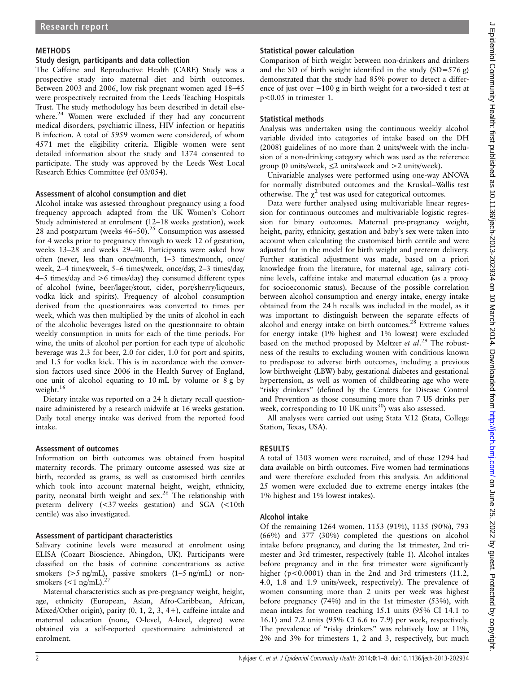## METHODS

#### Study design, participants and data collection

The Caffeine and Reproductive Health (CARE) Study was a prospective study into maternal diet and birth outcomes. Between 2003 and 2006, low risk pregnant women aged 18–45 were prospectively recruited from the Leeds Teaching Hospitals Trust. The study methodology has been described in detail elsewhere.<sup>24</sup> Women were excluded if they had any concurrent medical disorders, psychiatric illness, HIV infection or hepatitis B infection. A total of 5959 women were considered, of whom 4571 met the eligibility criteria. Eligible women were sent detailed information about the study and 1374 consented to participate. The study was approved by the Leeds West Local Research Ethics Committee (ref 03/054).

## Assessment of alcohol consumption and diet

Alcohol intake was assessed throughout pregnancy using a food frequency approach adapted from the UK Women's Cohort Study administered at enrolment (12–18 weeks gestation), week 28 and postpartum (weeks  $46-50$ ).<sup>25</sup> Consumption was assessed for 4 weeks prior to pregnancy through to week 12 of gestation, weeks 13–28 and weeks 29–40. Participants were asked how often (never, less than once/month, 1–3 times/month, once/ week, 2–4 times/week, 5–6 times/week, once/day, 2–3 times/day, 4–5 times/day and >6 times/day) they consumed different types of alcohol (wine, beer/lager/stout, cider, port/sherry/liqueurs, vodka kick and spirits). Frequency of alcohol consumption derived from the questionnaires was converted to times per week, which was then multiplied by the units of alcohol in each of the alcoholic beverages listed on the questionnaire to obtain weekly consumption in units for each of the time periods. For wine, the units of alcohol per portion for each type of alcoholic beverage was 2.3 for beer, 2.0 for cider, 1.0 for port and spirits, and 1.5 for vodka kick. This is in accordance with the conversion factors used since 2006 in the Health Survey of England, one unit of alcohol equating to 10 mL by volume or 8 g by weight.<sup>16</sup>

Dietary intake was reported on a 24 h dietary recall questionnaire administered by a research midwife at 16 weeks gestation. Daily total energy intake was derived from the reported food intake.

## Assessment of outcomes

Information on birth outcomes was obtained from hospital maternity records. The primary outcome assessed was size at birth, recorded as grams, as well as customised birth centiles which took into account maternal height, weight, ethnicity, parity, neonatal birth weight and  $sex.^{26}$  The relationship with preterm delivery (<37 weeks gestation) and SGA (<10th centile) was also investigated.

## Assessment of participant characteristics

Salivary cotinine levels were measured at enrolment using ELISA (Cozart Bioscience, Abingdon, UK). Participants were classified on the basis of cotinine concentrations as active smokers  $(>5 \text{ ng/mL})$ , passive smokers  $(1-5 \text{ ng/mL})$  or nonsmokers  $\left($  < 1 ng/mL).

Maternal characteristics such as pre-pregnancy weight, height, age, ethnicity (European, Asian, Afro-Caribbean, African, Mixed/Other origin), parity (0, 1, 2, 3, 4+), caffeine intake and maternal education (none, O-level, A-level, degree) were obtained via a self-reported questionnaire administered at enrolment.

# Statistical power calculation

Comparison of birth weight between non-drinkers and drinkers and the SD of birth weight identified in the study  $(SD=576 g)$ demonstrated that the study had 85% power to detect a difference of just over −100 g in birth weight for a two-sided t test at p<0.05 in trimester 1.

## Statistical methods

Analysis was undertaken using the continuous weekly alcohol variable divided into categories of intake based on the DH (2008) guidelines of no more than 2 units/week with the inclusion of a non-drinking category which was used as the reference group (0 units/week, ≤2 units/week and >2 units/week).

Univariable analyses were performed using one-way ANOVA for normally distributed outcomes and the Kruskal–Wallis test otherwise. The  $\chi^2$  test was used for categorical outcomes.

Data were further analysed using multivariable linear regression for continuous outcomes and multivariable logistic regression for binary outcomes. Maternal pre-pregnancy weight, height, parity, ethnicity, gestation and baby's sex were taken into account when calculating the customised birth centile and were adjusted for in the model for birth weight and preterm delivery. Further statistical adjustment was made, based on a priori knowledge from the literature, for maternal age, salivary cotinine levels, caffeine intake and maternal education (as a proxy for socioeconomic status). Because of the possible correlation between alcohol consumption and energy intake, energy intake obtained from the 24 h recalls was included in the model, as it was important to distinguish between the separate effects of alcohol and energy intake on birth outcomes.<sup>28</sup> Extreme values for energy intake (1% highest and 1% lowest) were excluded based on the method proposed by Meltzer et al.<sup>29</sup> The robustness of the results to excluding women with conditions known to predispose to adverse birth outcomes, including a previous low birthweight (LBW) baby, gestational diabetes and gestational hypertension, as well as women of childbearing age who were "risky drinkers" (defined by the Centers for Disease Control and Prevention as those consuming more than 7 US drinks per week, corresponding to 10 UK units<sup>30</sup>) was also assessed.

All analyses were carried out using Stata V.12 (Stata, College Station, Texas, USA).

# RESULTS

A total of 1303 women were recruited, and of these 1294 had data available on birth outcomes. Five women had terminations and were therefore excluded from this analysis. An additional 25 women were excluded due to extreme energy intakes (the 1% highest and 1% lowest intakes).

## Alcohol intake

Of the remaining 1264 women, 1153 (91%), 1135 (90%), 793 (66%) and 377 (30%) completed the questions on alcohol intake before pregnancy, and during the 1st trimester, 2nd trimester and 3rd trimester, respectively (table 1). Alcohol intakes before pregnancy and in the first trimester were significantly higher (p<0.0001) than in the 2nd and 3rd trimesters (11.2, 4.0, 1.8 and 1.9 units/week, respectively). The prevalence of women consuming more than 2 units per week was highest before pregnancy (74%) and in the 1st trimester (53%), with mean intakes for women reaching 15.1 units (95% CI 14.1 to 16.1) and 7.2 units (95% CI 6.6 to 7.9) per week, respectively. The prevalence of "risky drinkers" was relatively low at 11%, 2% and 3% for trimesters 1, 2 and 3, respectively, but much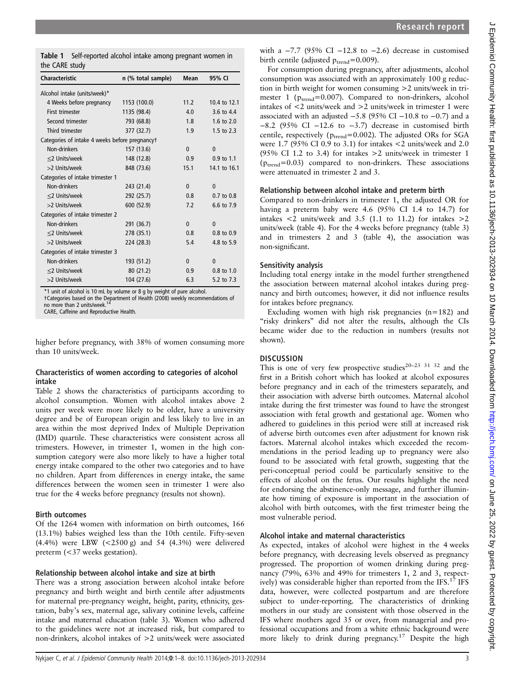| <b>Characteristic</b>                          | n (% total sample) | Mean         | 95% CI         |
|------------------------------------------------|--------------------|--------------|----------------|
| Alcohol intake (units/week)*                   |                    |              |                |
| 4 Weeks before pregnancy                       | 1153 (100.0)       | 11.2         | 10.4 to 12.1   |
| <b>First trimester</b>                         | 1135 (98.4)        | 4.0          | 3.6 to 4.4     |
| Second trimester                               | 793 (68.8)         | 1.8          | 1.6 to 2.0     |
| Third trimester                                | 377 (32.7)         | 1.9          | 1.5 to 2.3     |
| Categories of intake 4 weeks before pregnancyt |                    |              |                |
| Non-drinkers                                   | 157 (13.6)         | $\Omega$     | $\Omega$       |
| <2 Units/week                                  | 148 (12.8)         | 0.9          | $0.9$ to 1.1   |
| >2 Units/week                                  | 848 (73.6)         | 15.1         | 14.1 to 16.1   |
| Categories of intake trimester 1               |                    |              |                |
| Non-drinkers                                   | 243 (21.4)         | $\mathbf{0}$ | $\mathbf{0}$   |
| <2 Units/week                                  | 292 (25.7)         | 0.8          | $0.7$ to $0.8$ |
| >2 Units/week                                  | 600 (52.9)         | 7.2          | 6.6 to 7.9     |
| Categories of intake trimester 2               |                    |              |                |
| Non-drinkers                                   | 291 (36.7)         | $\mathbf{0}$ | $\Omega$       |
| <2 Units/week                                  | 278 (35.1)         | 0.8          | 0.8 to 0.9     |
| >2 Units/week                                  | 224 (28.3)         | 5.4          | 4.8 to 5.9     |
| Categories of intake trimester 3               |                    |              |                |
| Non-drinkers                                   | 193 (51.2)         | $\Omega$     | $\Omega$       |
| <2 Units/week                                  | 80(21.2)           | 0.9          | $0.8$ to $1.0$ |
| >2 Units/week                                  | 104 (27.6)         | 6.3          | 5.2 to 7.3     |

\*1 unit of alcohol is 10 mL by volume or 8 g by weight of pure alcohol. †Categories based on the Department of Health (2008) weekly recommendations of no more than 2 units/week.

CARE, Caffeine and Reproductive Health.

higher before pregnancy, with 38% of women consuming more than 10 units/week.

## Characteristics of women according to categories of alcohol intake

Table 2 shows the characteristics of participants according to alcohol consumption. Women with alcohol intakes above 2 units per week were more likely to be older, have a university degree and be of European origin and less likely to live in an area within the most deprived Index of Multiple Deprivation (IMD) quartile. These characteristics were consistent across all trimesters. However, in trimester 1, women in the high consumption category were also more likely to have a higher total energy intake compared to the other two categories and to have no children. Apart from differences in energy intake, the same differences between the women seen in trimester 1 were also true for the 4 weeks before pregnancy (results not shown).

#### Birth outcomes

Of the 1264 women with information on birth outcomes, 166 (13.1%) babies weighed less than the 10th centile. Fifty-seven (4.4%) were LBW (<2500 g) and 54 (4.3%) were delivered preterm (<37 weeks gestation).

#### Relationship between alcohol intake and size at birth

There was a strong association between alcohol intake before pregnancy and birth weight and birth centile after adjustments for maternal pre-pregnancy weight, height, parity, ethnicity, gestation, baby's sex, maternal age, salivary cotinine levels, caffeine intake and maternal education (table 3). Women who adhered to the guidelines were not at increased risk, but compared to non-drinkers, alcohol intakes of >2 units/week were associated

with a  $-7.7$  (95% CI  $-12.8$  to  $-2.6$ ) decrease in customised birth centile (adjusted  $p_{\text{trend}} = 0.009$ ).

For consumption during pregnancy, after adjustments, alcohol consumption was associated with an approximately 100 g reduction in birth weight for women consuming >2 units/week in trimester 1 ( $p_{trend}$ =0.007). Compared to non-drinkers, alcohol intakes of <2 units/week and >2 units/week in trimester 1 were associated with an adjusted  $-5.8$  (95% CI  $-10.8$  to  $-0.7$ ) and a −8.2 (95% CI −12.6 to −3.7) decrease in customised birth centile, respectively ( $p_{trend}$ =0.002). The adjusted ORs for SGA were 1.7 (95% CI 0.9 to 3.1) for intakes <2 units/week and 2.0 (95% CI 1.2 to 3.4) for intakes >2 units/week in trimester 1 ( $p_{\text{trend}}$ =0.03) compared to non-drinkers. These associations were attenuated in trimester 2 and 3.

#### Relationship between alcohol intake and preterm birth

Compared to non-drinkers in trimester 1, the adjusted OR for having a preterm baby were 4.6 (95% CI 1.4 to 14.7) for intakes  $\lt 2$  units/week and 3.5 (1.1 to 11.2) for intakes  $>2$ units/week (table 4). For the 4 weeks before pregnancy (table 3) and in trimesters 2 and 3 (table 4), the association was non-significant.

## Sensitivity analysis

Including total energy intake in the model further strengthened the association between maternal alcohol intakes during pregnancy and birth outcomes; however, it did not influence results for intakes before pregnancy.

Excluding women with high risk pregnancies (n=182) and "risky drinkers" did not alter the results, although the CIs became wider due to the reduction in numbers (results not shown).

## **DISCUSSION**

This is one of very few prospective studies<sup>20-23</sup> <sup>31</sup> <sup>32</sup> and the first in a British cohort which has looked at alcohol exposures before pregnancy and in each of the trimesters separately, and their association with adverse birth outcomes. Maternal alcohol intake during the first trimester was found to have the strongest association with fetal growth and gestational age. Women who adhered to guidelines in this period were still at increased risk of adverse birth outcomes even after adjustment for known risk factors. Maternal alcohol intakes which exceeded the recommendations in the period leading up to pregnancy were also found to be associated with fetal growth, suggesting that the peri-conceptual period could be particularly sensitive to the effects of alcohol on the fetus. Our results highlight the need for endorsing the abstinence-only message, and further illuminate how timing of exposure is important in the association of alcohol with birth outcomes, with the first trimester being the most vulnerable period.

#### Alcohol intake and maternal characteristics

As expected, intakes of alcohol were highest in the 4 weeks before pregnancy, with decreasing levels observed as pregnancy progressed. The proportion of women drinking during pregnancy (79%, 63% and 49% for trimesters 1, 2 and 3, respectively) was considerable higher than reported from the IFS.<sup>17</sup> IFS data, however, were collected postpartum and are therefore subject to under-reporting. The characteristics of drinking mothers in our study are consistent with those observed in the IFS where mothers aged 35 or over, from managerial and professional occupations and from a white ethnic background were more likely to drink during pregnancy.<sup>17</sup> Despite the high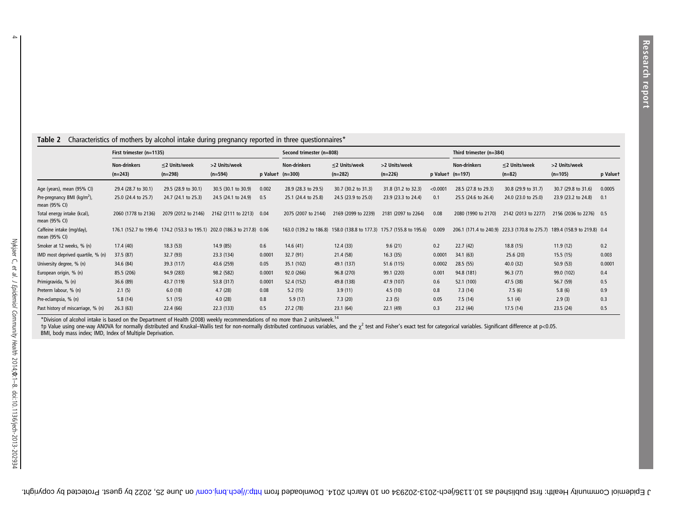#### Table 2 Characteristics of mothers by alcohol intake during pregnancy reported in three questionnaires\*

|                                                          | First trimester (n=1135)         |                                                                           |                            |        | Second trimester (n=808)                      |                                  |                                                                      |                        | Third trimester (n=384) |                                                                          |                            |          |
|----------------------------------------------------------|----------------------------------|---------------------------------------------------------------------------|----------------------------|--------|-----------------------------------------------|----------------------------------|----------------------------------------------------------------------|------------------------|-------------------------|--------------------------------------------------------------------------|----------------------------|----------|
|                                                          | <b>Non-drinkers</b><br>$(n=243)$ | $\leq$ 2 Units/week<br>$(n=298)$                                          | >2 Units/week<br>$(n=594)$ |        | <b>Non-drinkers</b><br>$p$ Valuet ( $n=300$ ) | $\leq$ 2 Units/week<br>$(n=282)$ | >2 Units/week<br>$(n=226)$                                           | $p$ Valuet ( $n=197$ ) | <b>Non-drinkers</b>     | $\leq$ 2 Units/week<br>$(n=82)$                                          | >2 Units/week<br>$(n=105)$ | p Valuet |
| Age (years), mean (95% CI)                               | 29.4 (28.7 to 30.1)              | 29.5 (28.9 to 30.1)                                                       | 30.5 (30.1 to 30.9)        | 0.002  | 28.9 (28.3 to 29.5)                           | 30.7 (30.2 to 31.3)              | 31.8 (31.2 to 32.3)                                                  | < 0.0001               | 28.5 (27.8 to 29.3)     | 30.8 (29.9 to 31.7)                                                      | 30.7 (29.8 to 31.6)        | 0.0005   |
| Pre-pregnancy BMI (kg/m <sup>2</sup> ),<br>mean (95% CI) | 25.0 (24.4 to 25.7)              | 24.7 (24.1 to 25.3)                                                       | 24.5 (24.1 to 24.9)        | 0.5    | 25.1 (24.4 to 25.8)                           | 24.5 (23.9 to 25.0)              | 23.9 (23.3 to 24.4)                                                  | 0.1                    | 25.5 (24.6 to 26.4)     | 24.0 (23.0 to 25.0)                                                      | 23.9 (23.2 to 24.8)        | 0.1      |
| Total energy intake (kcal),<br>mean (95% CI)             | 2060 (1778 to 2136)              | 2079 (2012 to 2146)                                                       | 2162 (2111 to 2213)        | 0.04   | 2075 (2007 to 2144)                           | 2169 (2099 to 2239)              | 2181 (2097 to 2264)                                                  | 0.08                   | 2080 (1990 to 2170)     | 2142 (2013 to 2277)                                                      | 2156 (2036 to 2276) 0.5    |          |
| Caffeine intake (mg/day),<br>mean (95% CI)               |                                  | 176.1 (152.7 to 199.4) 174.2 (153.3 to 195.1) 202.0 (186.3 to 217.8) 0.06 |                            |        |                                               |                                  | 163.0 (139.2 to 186.8) 158.0 (138.8 to 177.3) 175.7 (155.8 to 195.6) | 0.009                  |                         | 206.1 (171.4 to 240.9) 223.3 (170.8 to 275.7) 189.4 (158.9 to 219.8) 0.4 |                            |          |
| Smoker at 12 weeks, % (n)                                | 17.4 (40)                        | 18.3(53)                                                                  | 14.9 (85)                  | 0.6    | 14.6(41)                                      | 12.4(33)                         | 9.6(21)                                                              | 0.2                    | 22.7(42)                | 18.8(15)                                                                 | 11.9(12)                   | 0.2      |
| IMD most deprived quartile, % (n)                        | 37.5 (87)                        | 32.7(93)                                                                  | 23.3 (134)                 | 0.0001 | 32.7(91)                                      | 21.4 (58)                        | 16.3(35)                                                             | 0.0001                 | 34.1 (63)               | 25.6(20)                                                                 | 15.5(15)                   | 0.003    |
| University degree, % (n)                                 | 34.6 (84)                        | 39.3 (117)                                                                | 43.6 (259)                 | 0.05   | 35.1 (102)                                    | 49.1 (137)                       | 51.6 (115)                                                           | 0.0002                 | 28.5(55)                | 40.0 (32)                                                                | 50.9(53)                   | 0.0001   |
| European origin, % (n)                                   | 85.5 (206)                       | 94.9 (283)                                                                | 98.2 (582)                 | 0.0001 | 92.0(266)                                     | 96.8 (270)                       | 99.1 (220)                                                           | 0.001                  | 94.8 (181)              | 96.3 (77)                                                                | 99.0 (102)                 | 0.4      |
| Primigravida, % (n)                                      | 36.6 (89)                        | 43.7 (119)                                                                | 53.8 (317)                 | 0.0001 | 52.4 (152)                                    | 49.8 (138)                       | 47.9 (107)                                                           | 0.6                    | 52.1 (100)              | 47.5 (38)                                                                | 56.7 (59)                  | 0.5      |
| Preterm labour, % (n)                                    | 2.1(5)                           | 6.0(18)                                                                   | 4.7(28)                    | 0.08   | 5.2(15)                                       | 3.9(11)                          | 4.5(10)                                                              | 0.8                    | 7.3(14)                 | 7.5(6)                                                                   | 5.8(6)                     | 0.9      |
| Pre-eclampsia, % (n)                                     | 5.8(14)                          | 5.1(15)                                                                   | 4.0(28)                    | 0.8    | 5.9(17)                                       | 7.3(20)                          | 2.3(5)                                                               | 0.05                   | 7.5(14)                 | 5.1(4)                                                                   | 2.9(3)                     | 0.3      |
| Past history of miscarriage, % (n)                       | 26.3(63)                         | 22.4 (66)                                                                 | 22.3 (133)                 | 0.5    | 27.2 (78)                                     | 23.1(64)                         | 22.1 (49)                                                            | 0.3                    | 23.2(44)                | 17.5 (14)                                                                | 23.5(24)                   | 0.5      |

\*Division of alcohol intake is based on the Department of Health (2008) weekly recommendations of no more than 2 units/week.<sup>14</sup><br>†p Value using one-way ANOVA for normally distributed and Kruskal–Wallis test for non-normall

 $\rightarrow$ 

J Epidemiol Community Health: first bublished as 10.136/jech-202934 on 10. http://jech.bu/jech. Hubit. mubaded inom http://jech.bu/jech-2029/jech-2029by guest. Protected by copyright.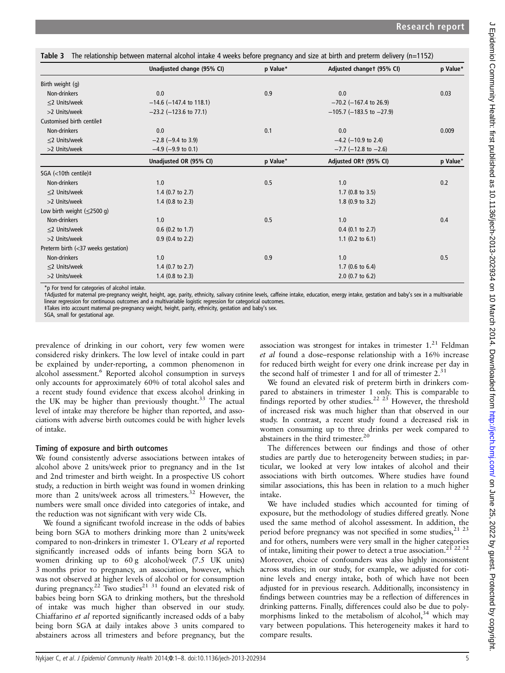| Unadjusted change (95% CI)  | p Value* | Adjusted changet (95% CI)   | p Value* |
|-----------------------------|----------|-----------------------------|----------|
|                             |          |                             |          |
| 0.0                         | 0.9      | 0.0                         | 0.03     |
| $-14.6$ (-147.4 to 118.1)   |          | $-70.2$ (-167.4 to 26.9)    |          |
| $-23.2$ (-123.6 to 77.1)    |          | $-105.7$ (-183.5 to -27.9)  |          |
|                             |          |                             |          |
| 0.0                         | 0.1      | 0.0                         | 0.009    |
| $-2.8$ ( $-9.4$ to 3.9)     |          | $-4.2$ (-10.9 to 2.4)       |          |
| $-4.9$ ( $-9.9$ to 0.1)     |          | $-7.7$ (-12.8 to $-2.6$ )   |          |
| Unadjusted OR (95% CI)      | p Value* | Adjusted OR1 (95% CI)       | p Value* |
|                             |          |                             |          |
| 1.0                         | 0.5      | 1.0                         | 0.2      |
| 1.4 $(0.7 \text{ to } 2.7)$ |          | 1.7 $(0.8 \text{ to } 3.5)$ |          |
| 1.4 $(0.8 \text{ to } 2.3)$ |          | $1.8$ (0.9 to 3.2)          |          |
|                             |          |                             |          |
| 1.0                         | 0.5      | 1.0                         | 0.4      |
| $0.6$ (0.2 to 1.7)          |          | $0.4$ (0.1 to 2.7)          |          |
| $0.9$ (0.4 to 2.2)          |          | 1.1 $(0.2 \text{ to } 6.1)$ |          |
|                             |          |                             |          |
| 1.0                         | 0.9      | 1.0                         | 0.5      |
| 1.4 $(0.7 \text{ to } 2.7)$ |          | 1.7 (0.6 to $6.4$ )         |          |
| 1.4 $(0.8 \text{ to } 2.3)$ |          | $2.0$ (0.7 to 6.2)          |          |
|                             |          |                             |          |

Table 3 The relationship between maternal alcohol intake 4 weeks before pregnancy and size at birth and preterm delivery (n=1152)

\*p For trend for categories of alcohol intake.

†Adjusted for maternal pre-pregnancy weight, height, age, parity, ethnicity, salivary cotinine levels, caffeine intake, education, energy intake, gestation and baby's sex in a multivariable<br>linear regression for continuous

‡Takes into account maternal pre-pregnancy weight, height, parity, ethnicity, gestation and baby's sex.

SGA, small for gestational age.

prevalence of drinking in our cohort, very few women were considered risky drinkers. The low level of intake could in part be explained by under-reporting, a common phenomenon in alcohol assessment.<sup>6</sup> Reported alcohol consumption in surveys only accounts for approximately 60% of total alcohol sales and a recent study found evidence that excess alcohol drinking in the UK may be higher than previously thought. $33$  The actual level of intake may therefore be higher than reported, and associations with adverse birth outcomes could be with higher levels of intake.

#### Timing of exposure and birth outcomes

We found consistently adverse associations between intakes of alcohol above 2 units/week prior to pregnancy and in the 1st and 2nd trimester and birth weight. In a prospective US cohort study, a reduction in birth weight was found in women drinking more than 2 units/week across all trimesters.<sup>32</sup> However, the numbers were small once divided into categories of intake, and the reduction was not significant with very wide CIs.

We found a significant twofold increase in the odds of babies being born SGA to mothers drinking more than 2 units/week compared to non-drinkers in trimester 1. O'Leary et al reported significantly increased odds of infants being born SGA to women drinking up to 60 g alcohol/week (7.5 UK units) 3 months prior to pregnancy, an association, however, which was not observed at higher levels of alcohol or for consumption during pregnancy.<sup>22</sup> Two studies<sup>21 31</sup> found an elevated risk of babies being born SGA to drinking mothers, but the threshold of intake was much higher than observed in our study. Chiaffarino et al reported significantly increased odds of a baby being born SGA at daily intakes above 3 units compared to abstainers across all trimesters and before pregnancy, but the

association was strongest for intakes in trimester  $1<sup>21</sup>$  Feldman et al found a dose–response relationship with a 16% increase for reduced birth weight for every one drink increase per day in the second half of trimester 1 and for all of trimester  $2.^{31}$ 

We found an elevated risk of preterm birth in drinkers compared to abstainers in trimester 1 only. This is comparable to findings reported by other studies.<sup>22 23</sup> However, the threshold of increased risk was much higher than that observed in our study. In contrast, a recent study found a decreased risk in women consuming up to three drinks per week compared to abstainers in the third trimester.<sup>20</sup>

The differences between our findings and those of other studies are partly due to heterogeneity between studies; in particular, we looked at very low intakes of alcohol and their associations with birth outcomes. Where studies have found similar associations, this has been in relation to a much higher intake.

We have included studies which accounted for timing of exposure, but the methodology of studies differed greatly. None used the same method of alcohol assessment. In addition, the period before pregnancy was not specified in some studies,<sup>21</sup><sup>23</sup> and for others, numbers were very small in the higher categories of intake, limiting their power to detect a true association.21 22 32 Moreover, choice of confounders was also highly inconsistent across studies; in our study, for example, we adjusted for cotinine levels and energy intake, both of which have not been adjusted for in previous research. Additionally, inconsistency in findings between countries may be a reflection of differences in drinking patterns. Finally, differences could also be due to polymorphisms linked to the metabolism of alcohol, $34$  which may vary between populations. This heterogeneity makes it hard to compare results.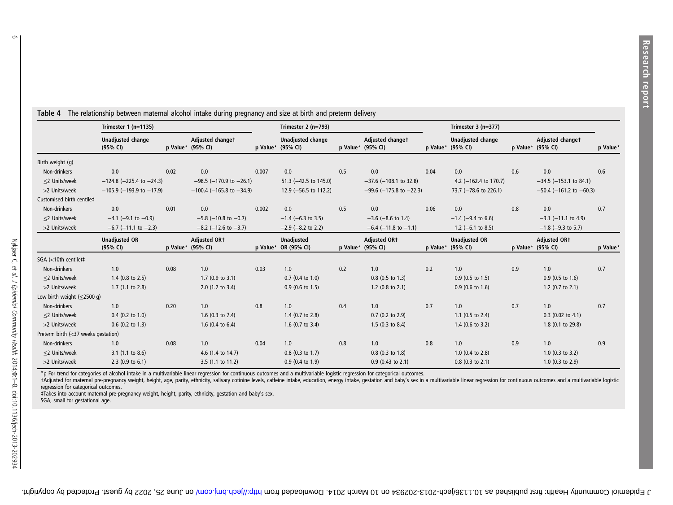|                                          | Trimester $1$ (n=1135)               |      |                                          | Trimester $2(n=793)$ |                                               |     |                                          | Trimester $3(n=377)$ |                                               |     |                                          |          |
|------------------------------------------|--------------------------------------|------|------------------------------------------|----------------------|-----------------------------------------------|-----|------------------------------------------|----------------------|-----------------------------------------------|-----|------------------------------------------|----------|
|                                          | <b>Unadjusted change</b><br>(95% CI) |      | Adjusted changet<br>p Value* (95% CI)    |                      | <b>Unadjusted change</b><br>p Value* (95% CI) |     | Adjusted changet<br>p Value* (95% CI)    |                      | <b>Unadjusted change</b><br>p Value* (95% CI) |     | Adjusted changet<br>p Value* (95% CI)    | p Value* |
| Birth weight (g)                         |                                      |      |                                          |                      |                                               |     |                                          |                      |                                               |     |                                          |          |
| Non-drinkers                             | 0.0                                  | 0.02 | 0.0                                      | 0.007                | 0.0                                           | 0.5 | 0.0                                      | 0.04                 | 0.0                                           | 0.6 | 0.0                                      | 0.6      |
| $\leq$ 2 Units/week                      | $-124.8$ ( $-225.4$ to $-24.3$ )     |      | $-98.5$ (-170.9 to -26.1)                |                      | 51.3 $(-42.5 \text{ to } 145.0)$              |     | $-37.6$ ( $-108.1$ to 32.8)              |                      | 4.2 $(-162.4 \text{ to } 170.7)$              |     | $-34.5$ ( $-153.1$ to 84.1)              |          |
| >2 Units/week                            | $-105.9$ (-193.9 to -17.9)           |      | $-100.4$ (-165.8 to -34.9)               |                      | 12.9 ( $-56.5$ to 112.2)                      |     | $-99.6$ (-175.8 to -22.3)                |                      | 73.7 (-78.6 to 226.1)                         |     | $-50.4$ ( $-161.2$ to $-60.3$ )          |          |
| Customised birth centile‡                |                                      |      |                                          |                      |                                               |     |                                          |                      |                                               |     |                                          |          |
| Non-drinkers                             | 0.0                                  | 0.01 | 0.0                                      | 0.002                | 0.0                                           | 0.5 | 0.0                                      | 0.06                 | 0.0                                           | 0.8 | 0.0                                      | 0.7      |
| $\leq$ 2 Units/week                      | $-4.1$ (-9.1 to -0.9)                |      | $-5.8$ ( $-10.8$ to $-0.7$ )             |                      | $-1.4$ (-6.3 to 3.5)                          |     | $-3.6$ ( $-8.6$ to 1.4)                  |                      | $-1.4$ (-9.4 to 6.6)                          |     | $-3.1$ ( $-11.1$ to 4.9)                 |          |
| >2 Units/week                            | $-6.7$ ( $-11.1$ to $-2.3$ )         |      | $-8.2$ (-12.6 to $-3.7$ )                |                      | $-2.9$ ( $-8.2$ to 2.2)                       |     | $-6.4$ ( $-11.8$ to $-1.1$ )             |                      | 1.2 ( $-6.1$ to 8.5)                          |     | $-1.8$ ( $-9.3$ to 5.7)                  |          |
|                                          | <b>Unadjusted OR</b><br>(95% CI)     |      | <b>Adjusted OR+</b><br>p Value* (95% CI) |                      | <b>Unadjusted</b><br>p Value* OR (95% CI)     |     | <b>Adjusted ORt</b><br>p Value* (95% CI) |                      | <b>Unadjusted OR</b><br>p Value* (95% CI)     |     | <b>Adjusted ORt</b><br>p Value* (95% CI) | p Value* |
| SGA (<10th centile)‡                     |                                      |      |                                          |                      |                                               |     |                                          |                      |                                               |     |                                          |          |
| Non-drinkers                             | 1.0                                  | 0.08 | 1.0                                      | 0.03                 | 1.0                                           | 0.2 | 1.0                                      | 0.2                  | 1.0                                           | 0.9 | 1.0                                      | 0.7      |
| $\leq$ 2 Units/week                      | $1.4$ (0.8 to 2.5)                   |      | $1.7$ (0.9 to 3.1)                       |                      | $0.7$ (0.4 to 1.0)                            |     | $0.8$ (0.5 to 1.3)                       |                      | $0.9$ (0.5 to 1.5)                            |     | $0.9$ (0.5 to 1.6)                       |          |
| >2 Units/week                            | $1.7$ (1.1 to 2.8)                   |      | $2.0$ (1.2 to 3.4)                       |                      | $0.9$ (0.6 to 1.5)                            |     | 1.2 $(0.8 \text{ to } 2.1)$              |                      | $0.9$ (0.6 to 1.6)                            |     | 1.2 $(0.7 \text{ to } 2.1)$              |          |
| Low birth weight $(\leq 2500 \text{ g})$ |                                      |      |                                          |                      |                                               |     |                                          |                      |                                               |     |                                          |          |
| Non-drinkers                             | 1.0                                  | 0.20 | 1.0                                      | 0.8                  | 1.0                                           | 0.4 | 1.0                                      | 0.7                  | 1.0                                           | 0.7 | 1.0                                      | 0.7      |
| $\leq$ 2 Units/week                      | $0.4$ (0.2 to 1.0)                   |      | 1.6 $(0.3$ to 7.4)                       |                      | $1.4$ (0.7 to 2.8)                            |     | $0.7$ (0.2 to 2.9)                       |                      | 1.1 $(0.5 \text{ to } 2.4)$                   |     | $0.3$ (0.02 to 4.1)                      |          |
| >2 Units/week                            | $0.6$ (0.2 to 1.3)                   |      | 1.6 $(0.4 \text{ to } 6.4)$              |                      | $1.6$ (0.7 to 3.4)                            |     | 1.5 $(0.3 \text{ to } 8.4)$              |                      | $1.4$ (0.6 to 3.2)                            |     | 1.8 (0.1 to 29.8)                        |          |
| Preterm birth (<37 weeks gestation)      |                                      |      |                                          |                      |                                               |     |                                          |                      |                                               |     |                                          |          |
| Non-drinkers                             | 1.0                                  | 0.08 | 1.0                                      | 0.04                 | 1.0                                           | 0.8 | 1.0                                      | 0.8                  | 1.0                                           | 0.9 | 1.0                                      | 0.9      |
| $\leq$ 2 Units/week                      | $3.1$ (1.1 to 8.6)                   |      | 4.6 (1.4 to 14.7)                        |                      | $0.8$ (0.3 to 1.7)                            |     | $0.8$ (0.3 to 1.8)                       |                      | 1.0 $(0.4 \text{ to } 2.8)$                   |     | $1.0$ (0.3 to 3.2)                       |          |
| >2 Units/week                            | 2.3 (0.9 to 6.1)                     |      | 3.5 (1.1 to 11.2)                        |                      | 0.9 (0.4 to 1.9)                              |     | $0.9$ (0.43 to 2.1)                      |                      | $0.8$ (0.3 to 2.1)                            |     | $1.0$ (0.3 to 2.9)                       |          |

Table 4 The relationship between maternal alcohol intake during pregnancy and size at birth and preterm delivery

\*p For trend for categories of alcohol intake in a multivariable linear regression for continuous outcomes and a multivariable logistic regression for categorical outcomes.<br>†Adjusted for maternal pre-pregnancy weight, heig

‡Takes into account maternal pre-pregnancy weight, height, parity, ethnicity, gestation and baby'<sup>s</sup> sex.

SGA, small for gestational age.

 $\sigma$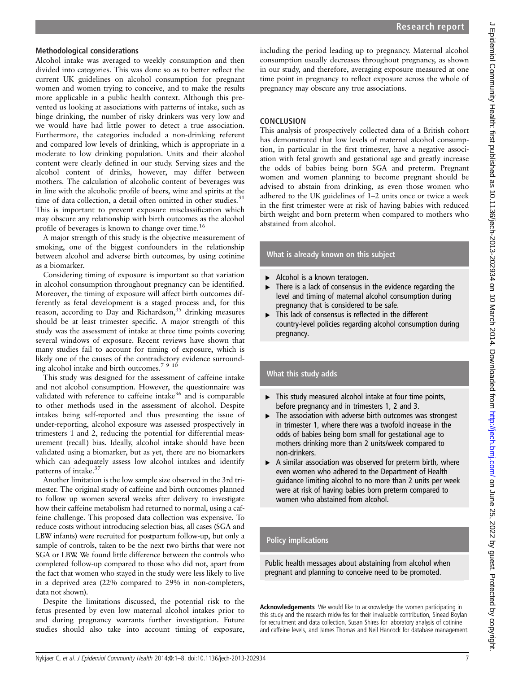## Methodological considerations

Alcohol intake was averaged to weekly consumption and then divided into categories. This was done so as to better reflect the current UK guidelines on alcohol consumption for pregnant women and women trying to conceive, and to make the results more applicable in a public health context. Although this prevented us looking at associations with patterns of intake, such as binge drinking, the number of risky drinkers was very low and we would have had little power to detect a true association. Furthermore, the categories included a non-drinking referent and compared low levels of drinking, which is appropriate in a moderate to low drinking population. Units and their alcohol content were clearly defined in our study. Serving sizes and the alcohol content of drinks, however, may differ between mothers. The calculation of alcoholic content of beverages was in line with the alcoholic profile of beers, wine and spirits at the time of data collection, a detail often omitted in other studies.<sup>31</sup> This is important to prevent exposure misclassification which may obscure any relationship with birth outcomes as the alcohol profile of beverages is known to change over time.16

A major strength of this study is the objective measurement of smoking, one of the biggest confounders in the relationship between alcohol and adverse birth outcomes, by using cotinine as a biomarker.

Considering timing of exposure is important so that variation in alcohol consumption throughout pregnancy can be identified. Moreover, the timing of exposure will affect birth outcomes differently as fetal development is a staged process and, for this reason, according to Day and Richardson,  $35$  drinking measures should be at least trimester specific. A major strength of this study was the assessment of intake at three time points covering several windows of exposure. Recent reviews have shown that many studies fail to account for timing of exposure, which is likely one of the causes of the contradictory evidence surrounding alcohol intake and birth outcomes.<sup>7 9 10</sup>

This study was designed for the assessment of caffeine intake and not alcohol consumption. However, the questionnaire was validated with reference to caffeine intake<sup>36</sup> and is comparable to other methods used in the assessment of alcohol. Despite intakes being self-reported and thus presenting the issue of under-reporting, alcohol exposure was assessed prospectively in trimesters 1 and 2, reducing the potential for differential measurement (recall) bias. Ideally, alcohol intake should have been validated using a biomarker, but as yet, there are no biomarkers which can adequately assess low alcohol intakes and identify patterns of intake.<sup>37</sup>

Another limitation is the low sample size observed in the 3rd trimester. The original study of caffeine and birth outcomes planned to follow up women several weeks after delivery to investigate how their caffeine metabolism had returned to normal, using a caffeine challenge. This proposed data collection was expensive. To reduce costs without introducing selection bias, all cases (SGA and LBW infants) were recruited for postpartum follow-up, but only a sample of controls, taken to be the next two births that were not SGA or LBW. We found little difference between the controls who completed follow-up compared to those who did not, apart from the fact that women who stayed in the study were less likely to live in a deprived area (22% compared to 29% in non-completers, data not shown).

Despite the limitations discussed, the potential risk to the fetus presented by even low maternal alcohol intakes prior to and during pregnancy warrants further investigation. Future studies should also take into account timing of exposure,

including the period leading up to pregnancy. Maternal alcohol consumption usually decreases throughout pregnancy, as shown in our study, and therefore, averaging exposure measured at one time point in pregnancy to reflect exposure across the whole of pregnancy may obscure any true associations.

## **CONCLUSION**

This analysis of prospectively collected data of a British cohort has demonstrated that low levels of maternal alcohol consumption, in particular in the first trimester, have a negative association with fetal growth and gestational age and greatly increase the odds of babies being born SGA and preterm. Pregnant women and women planning to become pregnant should be advised to abstain from drinking, as even those women who adhered to the UK guidelines of 1–2 units once or twice a week in the first trimester were at risk of having babies with reduced birth weight and born preterm when compared to mothers who abstained from alcohol.

# What is already known on this subject

- ▶ Alcohol is a known teratogen.
- There is a lack of consensus in the evidence regarding the level and timing of maternal alcohol consumption during pregnancy that is considered to be safe.
- ▸ This lack of consensus is reflected in the different country-level policies regarding alcohol consumption during pregnancy.

## What this study adds

- $\blacktriangleright$  This study measured alcohol intake at four time points, before pregnancy and in trimesters 1, 2 and 3.
- ▸ The association with adverse birth outcomes was strongest in trimester 1, where there was a twofold increase in the odds of babies being born small for gestational age to mothers drinking more than 2 units/week compared to non-drinkers.
- $\triangleright$  A similar association was observed for preterm birth, where even women who adhered to the Department of Health guidance limiting alcohol to no more than 2 units per week were at risk of having babies born preterm compared to women who abstained from alcohol.

## Policy implications

Public health messages about abstaining from alcohol when pregnant and planning to conceive need to be promoted.

Acknowledgements We would like to acknowledge the women participating in this study and the research midwifes for their invaluable contribution, Sinead Boylan for recruitment and data collection, Susan Shires for laboratory analysis of cotinine and caffeine levels, and James Thomas and Neil Hancock for database management.